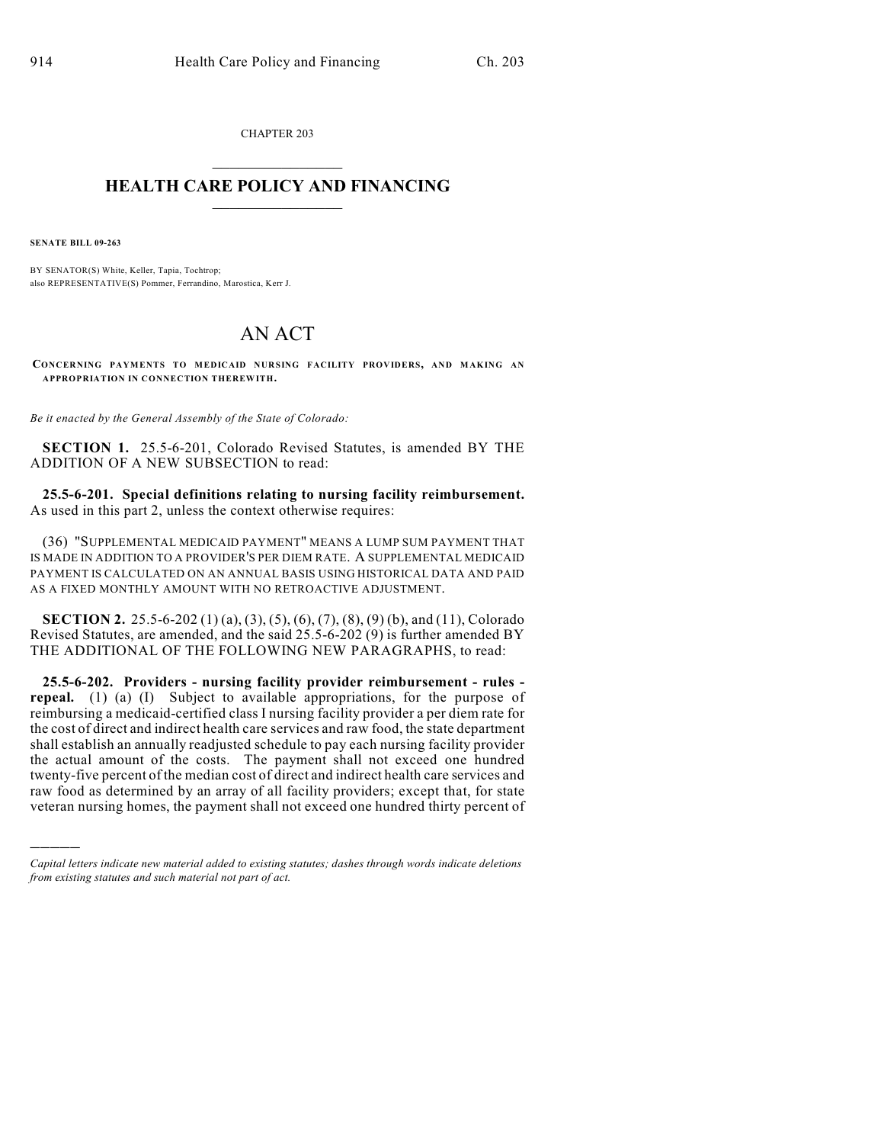CHAPTER 203  $\mathcal{L}_\text{max}$  . The set of the set of the set of the set of the set of the set of the set of the set of the set of the set of the set of the set of the set of the set of the set of the set of the set of the set of the set

### **HEALTH CARE POLICY AND FINANCING**  $\_$   $\_$   $\_$   $\_$   $\_$   $\_$   $\_$   $\_$

**SENATE BILL 09-263**

)))))

BY SENATOR(S) White, Keller, Tapia, Tochtrop; also REPRESENTATIVE(S) Pommer, Ferrandino, Marostica, Kerr J.

# AN ACT

**CONCERNING PAYMENTS TO MEDICAID NURSING FACILITY PROVIDERS, AND MAKING AN APPROPRIATION IN CONNECTION THEREWITH.**

*Be it enacted by the General Assembly of the State of Colorado:*

**SECTION 1.** 25.5-6-201, Colorado Revised Statutes, is amended BY THE ADDITION OF A NEW SUBSECTION to read:

**25.5-6-201. Special definitions relating to nursing facility reimbursement.** As used in this part 2, unless the context otherwise requires:

(36) "SUPPLEMENTAL MEDICAID PAYMENT" MEANS A LUMP SUM PAYMENT THAT IS MADE IN ADDITION TO A PROVIDER'S PER DIEM RATE. A SUPPLEMENTAL MEDICAID PAYMENT IS CALCULATED ON AN ANNUAL BASIS USING HISTORICAL DATA AND PAID AS A FIXED MONTHLY AMOUNT WITH NO RETROACTIVE ADJUSTMENT.

**SECTION 2.** 25.5-6-202 (1) (a), (3), (5), (6), (7), (8), (9) (b), and (11), Colorado Revised Statutes, are amended, and the said 25.5-6-202 (9) is further amended BY THE ADDITIONAL OF THE FOLLOWING NEW PARAGRAPHS, to read:

**25.5-6-202. Providers - nursing facility provider reimbursement - rules repeal.** (1) (a) (I) Subject to available appropriations, for the purpose of reimbursing a medicaid-certified class I nursing facility provider a per diem rate for the cost of direct and indirect health care services and raw food, the state department shall establish an annually readjusted schedule to pay each nursing facility provider the actual amount of the costs. The payment shall not exceed one hundred twenty-five percent of the median cost of direct and indirect health care services and raw food as determined by an array of all facility providers; except that, for state veteran nursing homes, the payment shall not exceed one hundred thirty percent of

*Capital letters indicate new material added to existing statutes; dashes through words indicate deletions from existing statutes and such material not part of act.*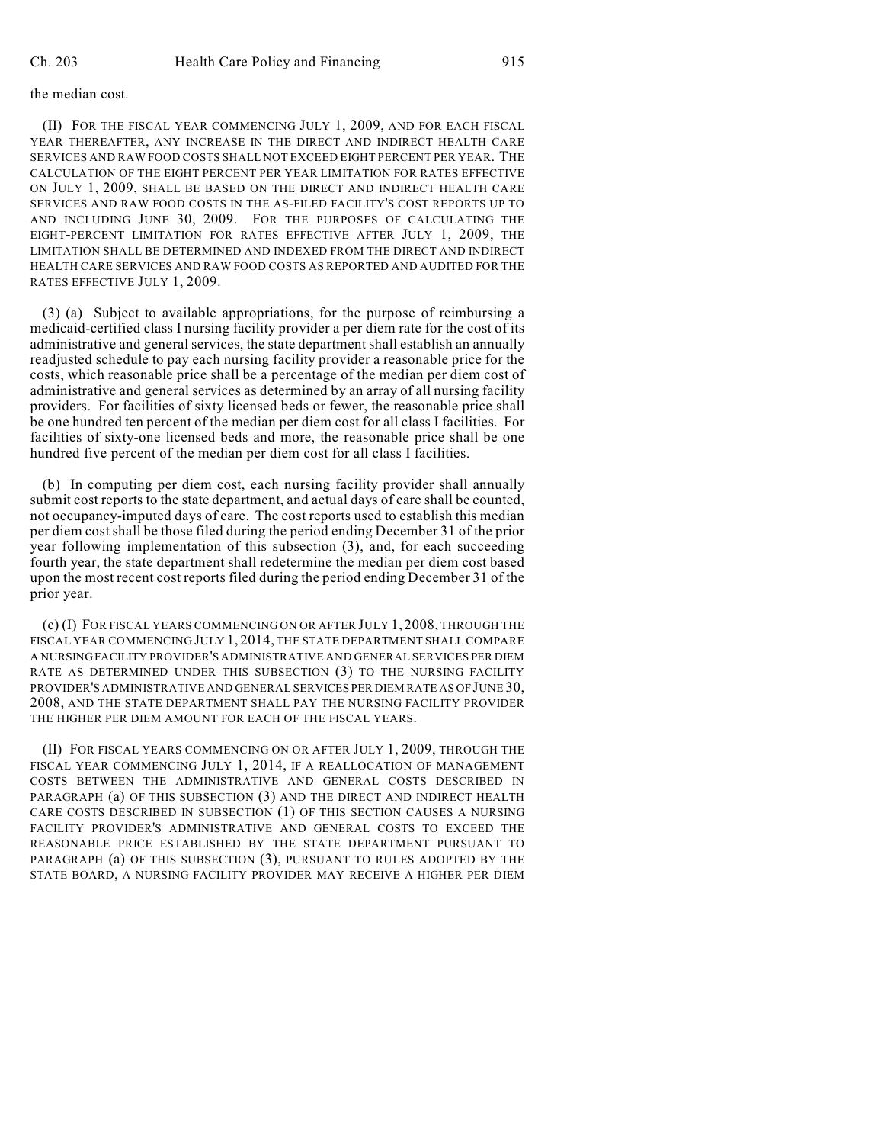#### the median cost.

(II) FOR THE FISCAL YEAR COMMENCING JULY 1, 2009, AND FOR EACH FISCAL YEAR THEREAFTER, ANY INCREASE IN THE DIRECT AND INDIRECT HEALTH CARE SERVICES AND RAW FOOD COSTS SHALL NOT EXCEED EIGHT PERCENT PER YEAR. THE CALCULATION OF THE EIGHT PERCENT PER YEAR LIMITATION FOR RATES EFFECTIVE ON JULY 1, 2009, SHALL BE BASED ON THE DIRECT AND INDIRECT HEALTH CARE SERVICES AND RAW FOOD COSTS IN THE AS-FILED FACILITY'S COST REPORTS UP TO AND INCLUDING JUNE 30, 2009. FOR THE PURPOSES OF CALCULATING THE EIGHT-PERCENT LIMITATION FOR RATES EFFECTIVE AFTER JULY 1, 2009, THE LIMITATION SHALL BE DETERMINED AND INDEXED FROM THE DIRECT AND INDIRECT HEALTH CARE SERVICES AND RAW FOOD COSTS AS REPORTED AND AUDITED FOR THE RATES EFFECTIVE JULY 1, 2009.

(3) (a) Subject to available appropriations, for the purpose of reimbursing a medicaid-certified class I nursing facility provider a per diem rate for the cost of its administrative and general services, the state department shall establish an annually readjusted schedule to pay each nursing facility provider a reasonable price for the costs, which reasonable price shall be a percentage of the median per diem cost of administrative and general services as determined by an array of all nursing facility providers. For facilities of sixty licensed beds or fewer, the reasonable price shall be one hundred ten percent of the median per diem cost for all class I facilities. For facilities of sixty-one licensed beds and more, the reasonable price shall be one hundred five percent of the median per diem cost for all class I facilities.

(b) In computing per diem cost, each nursing facility provider shall annually submit cost reports to the state department, and actual days of care shall be counted, not occupancy-imputed days of care. The cost reports used to establish this median per diem cost shall be those filed during the period ending December 31 of the prior year following implementation of this subsection (3), and, for each succeeding fourth year, the state department shall redetermine the median per diem cost based upon the most recent cost reports filed during the period ending December 31 of the prior year.

(c) (I) FOR FISCAL YEARS COMMENCING ON OR AFTER JULY 1, 2008, THROUGH THE FISCAL YEAR COMMENCING JULY 1, 2014, THE STATE DEPARTMENT SHALL COMPARE A NURSING FACILITY PROVIDER'S ADMINISTRATIVE AND GENERAL SERVICES PER DIEM RATE AS DETERMINED UNDER THIS SUBSECTION (3) TO THE NURSING FACILITY PROVIDER'S ADMINISTRATIVE AND GENERAL SERVICES PER DIEM RATE AS OF JUNE 30, 2008, AND THE STATE DEPARTMENT SHALL PAY THE NURSING FACILITY PROVIDER THE HIGHER PER DIEM AMOUNT FOR EACH OF THE FISCAL YEARS.

(II) FOR FISCAL YEARS COMMENCING ON OR AFTER JULY 1, 2009, THROUGH THE FISCAL YEAR COMMENCING JULY 1, 2014, IF A REALLOCATION OF MANAGEMENT COSTS BETWEEN THE ADMINISTRATIVE AND GENERAL COSTS DESCRIBED IN PARAGRAPH (a) OF THIS SUBSECTION (3) AND THE DIRECT AND INDIRECT HEALTH CARE COSTS DESCRIBED IN SUBSECTION (1) OF THIS SECTION CAUSES A NURSING FACILITY PROVIDER'S ADMINISTRATIVE AND GENERAL COSTS TO EXCEED THE REASONABLE PRICE ESTABLISHED BY THE STATE DEPARTMENT PURSUANT TO PARAGRAPH (a) OF THIS SUBSECTION (3), PURSUANT TO RULES ADOPTED BY THE STATE BOARD, A NURSING FACILITY PROVIDER MAY RECEIVE A HIGHER PER DIEM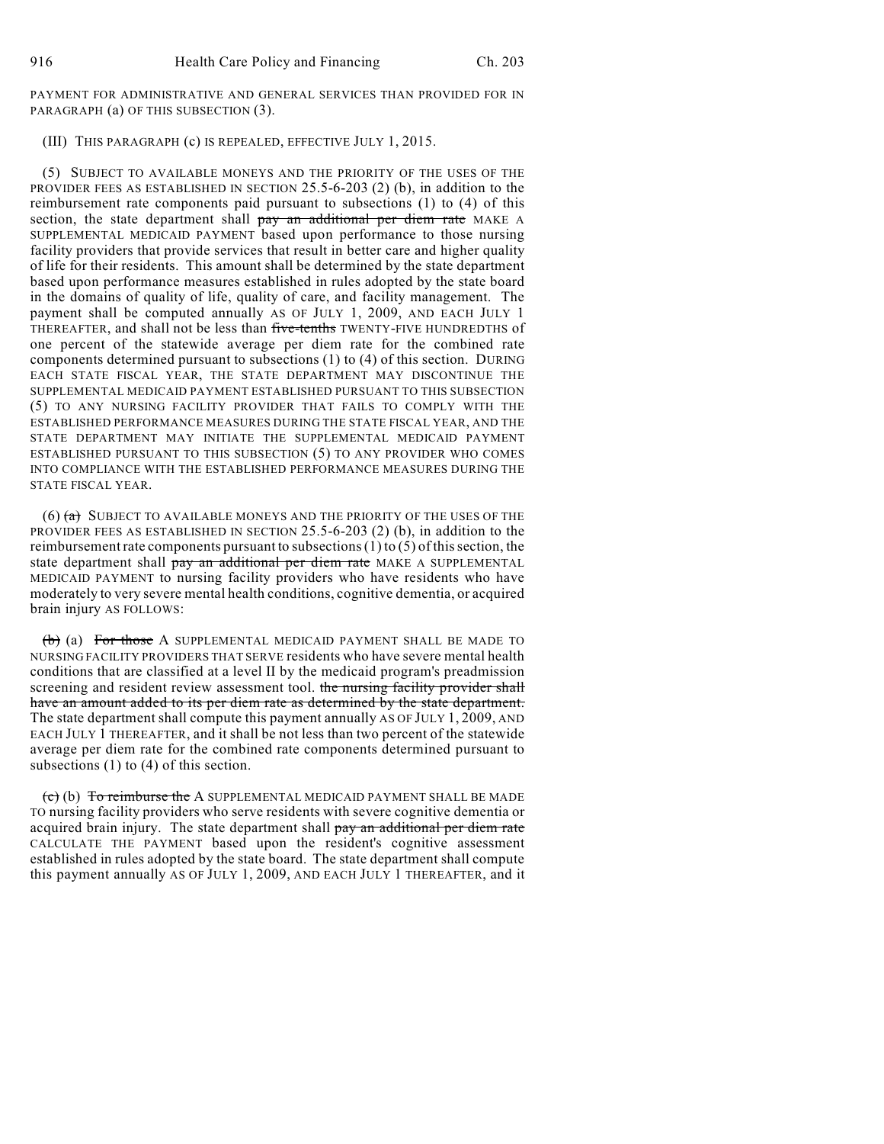PAYMENT FOR ADMINISTRATIVE AND GENERAL SERVICES THAN PROVIDED FOR IN PARAGRAPH (a) OF THIS SUBSECTION (3).

#### (III) THIS PARAGRAPH (c) IS REPEALED, EFFECTIVE JULY 1, 2015.

(5) SUBJECT TO AVAILABLE MONEYS AND THE PRIORITY OF THE USES OF THE PROVIDER FEES AS ESTABLISHED IN SECTION 25.5-6-203 (2) (b), in addition to the reimbursement rate components paid pursuant to subsections (1) to (4) of this section, the state department shall pay an additional per diem rate MAKE A SUPPLEMENTAL MEDICAID PAYMENT based upon performance to those nursing facility providers that provide services that result in better care and higher quality of life for their residents. This amount shall be determined by the state department based upon performance measures established in rules adopted by the state board in the domains of quality of life, quality of care, and facility management. The payment shall be computed annually AS OF JULY 1, 2009, AND EACH JULY 1 THEREAFTER, and shall not be less than five-tenths TWENTY-FIVE HUNDREDTHS of one percent of the statewide average per diem rate for the combined rate components determined pursuant to subsections (1) to (4) of this section. DURING EACH STATE FISCAL YEAR, THE STATE DEPARTMENT MAY DISCONTINUE THE SUPPLEMENTAL MEDICAID PAYMENT ESTABLISHED PURSUANT TO THIS SUBSECTION (5) TO ANY NURSING FACILITY PROVIDER THAT FAILS TO COMPLY WITH THE ESTABLISHED PERFORMANCE MEASURES DURING THE STATE FISCAL YEAR, AND THE STATE DEPARTMENT MAY INITIATE THE SUPPLEMENTAL MEDICAID PAYMENT ESTABLISHED PURSUANT TO THIS SUBSECTION (5) TO ANY PROVIDER WHO COMES INTO COMPLIANCE WITH THE ESTABLISHED PERFORMANCE MEASURES DURING THE STATE FISCAL YEAR.

(6)  $(a)$  SUBJECT TO AVAILABLE MONEYS AND THE PRIORITY OF THE USES OF THE PROVIDER FEES AS ESTABLISHED IN SECTION 25.5-6-203 (2) (b), in addition to the reimbursement rate components pursuant to subsections (1) to (5) of this section, the state department shall pay an additional per diem rate MAKE A SUPPLEMENTAL MEDICAID PAYMENT to nursing facility providers who have residents who have moderately to very severe mental health conditions, cognitive dementia, or acquired brain injury AS FOLLOWS:

(b) (a) For those A SUPPLEMENTAL MEDICAID PAYMENT SHALL BE MADE TO NURSING FACILITY PROVIDERS THAT SERVE residents who have severe mental health conditions that are classified at a level II by the medicaid program's preadmission screening and resident review assessment tool. the nursing facility provider shall have an amount added to its per diem rate as determined by the state department. The state department shall compute this payment annually AS OF JULY 1, 2009, AND EACH JULY 1 THEREAFTER, and it shall be not less than two percent of the statewide average per diem rate for the combined rate components determined pursuant to subsections (1) to (4) of this section.

 $\overline{c}$  (b) To reimburse the A SUPPLEMENTAL MEDICAID PAYMENT SHALL BE MADE TO nursing facility providers who serve residents with severe cognitive dementia or acquired brain injury. The state department shall pay an additional per diem rate CALCULATE THE PAYMENT based upon the resident's cognitive assessment established in rules adopted by the state board. The state department shall compute this payment annually AS OF JULY 1, 2009, AND EACH JULY 1 THEREAFTER, and it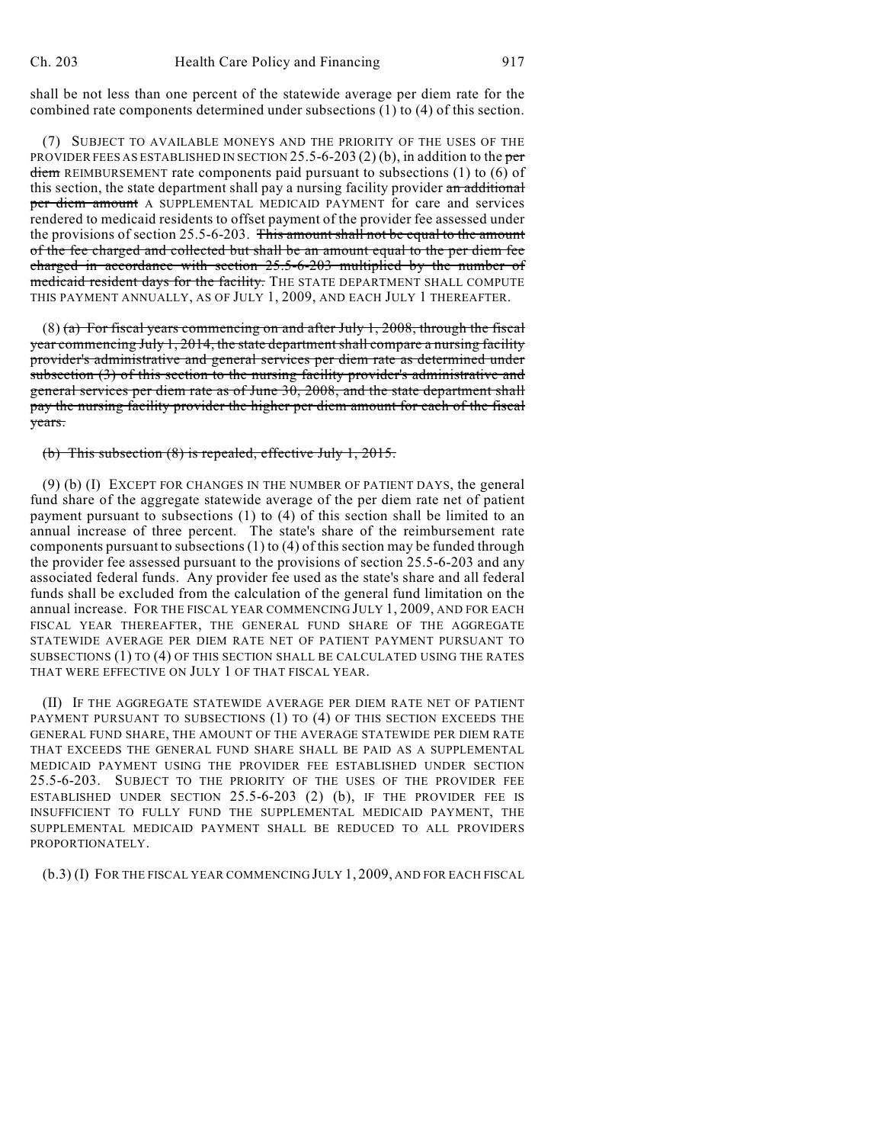shall be not less than one percent of the statewide average per diem rate for the combined rate components determined under subsections (1) to (4) of this section.

(7) SUBJECT TO AVAILABLE MONEYS AND THE PRIORITY OF THE USES OF THE PROVIDER FEES AS ESTABLISHED IN SECTION 25.5-6-203 (2) (b), in addition to the per diem REIMBURSEMENT rate components paid pursuant to subsections (1) to (6) of this section, the state department shall pay a nursing facility provider an additional per diem amount A SUPPLEMENTAL MEDICAID PAYMENT for care and services rendered to medicaid residents to offset payment of the provider fee assessed under the provisions of section 25.5-6-203. This amount shall not be equal to the amount of the fee charged and collected but shall be an amount equal to the per diem fee charged in accordance with section 25.5-6-203 multiplied by the number of medicaid resident days for the facility. THE STATE DEPARTMENT SHALL COMPUTE THIS PAYMENT ANNUALLY, AS OF JULY 1, 2009, AND EACH JULY 1 THEREAFTER.

 $(8)$  (a) For fiscal years commencing on and after July 1, 2008, through the fiscal year commencing July 1, 2014, the state department shall compare a nursing facility provider's administrative and general services per diem rate as determined under subsection (3) of this section to the nursing facility provider's administrative and general services per diem rate as of June 30, 2008, and the state department shall pay the nursing facility provider the higher per diem amount for each of the fiscal years.

(b) This subsection (8) is repealed, effective July 1, 2015.

(9) (b) (I) EXCEPT FOR CHANGES IN THE NUMBER OF PATIENT DAYS, the general fund share of the aggregate statewide average of the per diem rate net of patient payment pursuant to subsections (1) to (4) of this section shall be limited to an annual increase of three percent. The state's share of the reimbursement rate components pursuant to subsections (1) to (4) of this section may be funded through the provider fee assessed pursuant to the provisions of section 25.5-6-203 and any associated federal funds. Any provider fee used as the state's share and all federal funds shall be excluded from the calculation of the general fund limitation on the annual increase. FOR THE FISCAL YEAR COMMENCING JULY 1, 2009, AND FOR EACH FISCAL YEAR THEREAFTER, THE GENERAL FUND SHARE OF THE AGGREGATE STATEWIDE AVERAGE PER DIEM RATE NET OF PATIENT PAYMENT PURSUANT TO SUBSECTIONS (1) TO (4) OF THIS SECTION SHALL BE CALCULATED USING THE RATES THAT WERE EFFECTIVE ON JULY 1 OF THAT FISCAL YEAR.

(II) IF THE AGGREGATE STATEWIDE AVERAGE PER DIEM RATE NET OF PATIENT PAYMENT PURSUANT TO SUBSECTIONS (1) TO (4) OF THIS SECTION EXCEEDS THE GENERAL FUND SHARE, THE AMOUNT OF THE AVERAGE STATEWIDE PER DIEM RATE THAT EXCEEDS THE GENERAL FUND SHARE SHALL BE PAID AS A SUPPLEMENTAL MEDICAID PAYMENT USING THE PROVIDER FEE ESTABLISHED UNDER SECTION 25.5-6-203. SUBJECT TO THE PRIORITY OF THE USES OF THE PROVIDER FEE ESTABLISHED UNDER SECTION 25.5-6-203 (2) (b), IF THE PROVIDER FEE IS INSUFFICIENT TO FULLY FUND THE SUPPLEMENTAL MEDICAID PAYMENT, THE SUPPLEMENTAL MEDICAID PAYMENT SHALL BE REDUCED TO ALL PROVIDERS PROPORTIONATELY.

(b.3) (I) FOR THE FISCAL YEAR COMMENCING JULY 1, 2009, AND FOR EACH FISCAL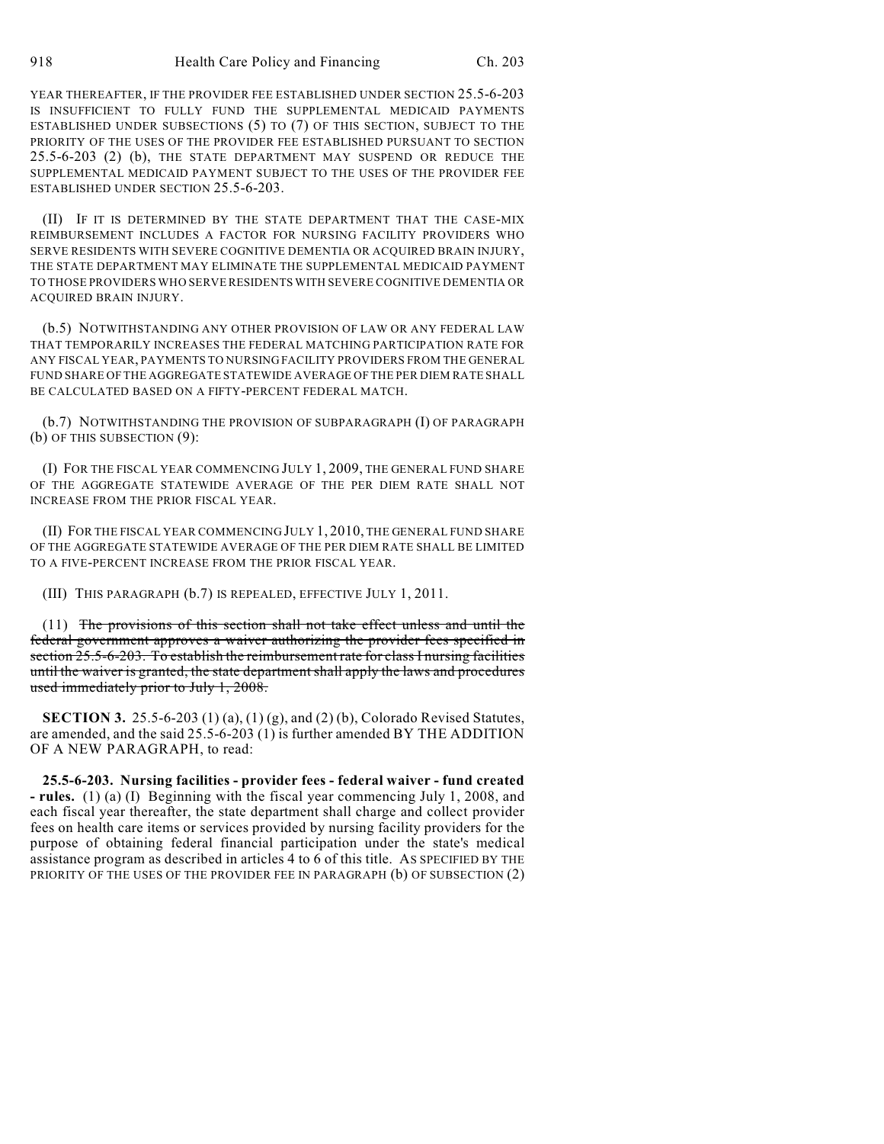YEAR THEREAFTER, IF THE PROVIDER FEE ESTABLISHED UNDER SECTION 25.5-6-203 IS INSUFFICIENT TO FULLY FUND THE SUPPLEMENTAL MEDICAID PAYMENTS ESTABLISHED UNDER SUBSECTIONS (5) TO (7) OF THIS SECTION, SUBJECT TO THE PRIORITY OF THE USES OF THE PROVIDER FEE ESTABLISHED PURSUANT TO SECTION 25.5-6-203 (2) (b), THE STATE DEPARTMENT MAY SUSPEND OR REDUCE THE SUPPLEMENTAL MEDICAID PAYMENT SUBJECT TO THE USES OF THE PROVIDER FEE ESTABLISHED UNDER SECTION 25.5-6-203.

(II) IF IT IS DETERMINED BY THE STATE DEPARTMENT THAT THE CASE-MIX REIMBURSEMENT INCLUDES A FACTOR FOR NURSING FACILITY PROVIDERS WHO SERVE RESIDENTS WITH SEVERE COGNITIVE DEMENTIA OR ACQUIRED BRAIN INJURY, THE STATE DEPARTMENT MAY ELIMINATE THE SUPPLEMENTAL MEDICAID PAYMENT TO THOSE PROVIDERS WHO SERVE RESIDENTS WITH SEVERE COGNITIVE DEMENTIA OR ACQUIRED BRAIN INJURY.

(b.5) NOTWITHSTANDING ANY OTHER PROVISION OF LAW OR ANY FEDERAL LAW THAT TEMPORARILY INCREASES THE FEDERAL MATCHING PARTICIPATION RATE FOR ANY FISCAL YEAR, PAYMENTS TO NURSING FACILITY PROVIDERS FROM THE GENERAL FUND SHARE OF THE AGGREGATE STATEWIDE AVERAGE OF THE PER DIEM RATE SHALL BE CALCULATED BASED ON A FIFTY-PERCENT FEDERAL MATCH.

(b.7) NOTWITHSTANDING THE PROVISION OF SUBPARAGRAPH (I) OF PARAGRAPH (b) OF THIS SUBSECTION (9):

(I) FOR THE FISCAL YEAR COMMENCING JULY 1, 2009, THE GENERAL FUND SHARE OF THE AGGREGATE STATEWIDE AVERAGE OF THE PER DIEM RATE SHALL NOT INCREASE FROM THE PRIOR FISCAL YEAR.

(II) FOR THE FISCAL YEAR COMMENCING JULY 1, 2010, THE GENERAL FUND SHARE OF THE AGGREGATE STATEWIDE AVERAGE OF THE PER DIEM RATE SHALL BE LIMITED TO A FIVE-PERCENT INCREASE FROM THE PRIOR FISCAL YEAR.

(III) THIS PARAGRAPH (b.7) IS REPEALED, EFFECTIVE JULY 1, 2011.

(11) The provisions of this section shall not take effect unless and until the federal government approves a waiver authorizing the provider fees specified in section 25.5-6-203. To establish the reimbursement rate for class I nursing facilities until the waiver is granted, the state department shall apply the laws and procedures used immediately prior to July 1, 2008.

**SECTION 3.** 25.5-6-203 (1) (a), (1) (g), and (2) (b), Colorado Revised Statutes, are amended, and the said 25.5-6-203 (1) is further amended BY THE ADDITION OF A NEW PARAGRAPH, to read:

**25.5-6-203. Nursing facilities - provider fees - federal waiver - fund created - rules.** (1) (a) (I) Beginning with the fiscal year commencing July 1, 2008, and each fiscal year thereafter, the state department shall charge and collect provider fees on health care items or services provided by nursing facility providers for the purpose of obtaining federal financial participation under the state's medical assistance program as described in articles 4 to 6 of this title. AS SPECIFIED BY THE PRIORITY OF THE USES OF THE PROVIDER FEE IN PARAGRAPH (b) OF SUBSECTION (2)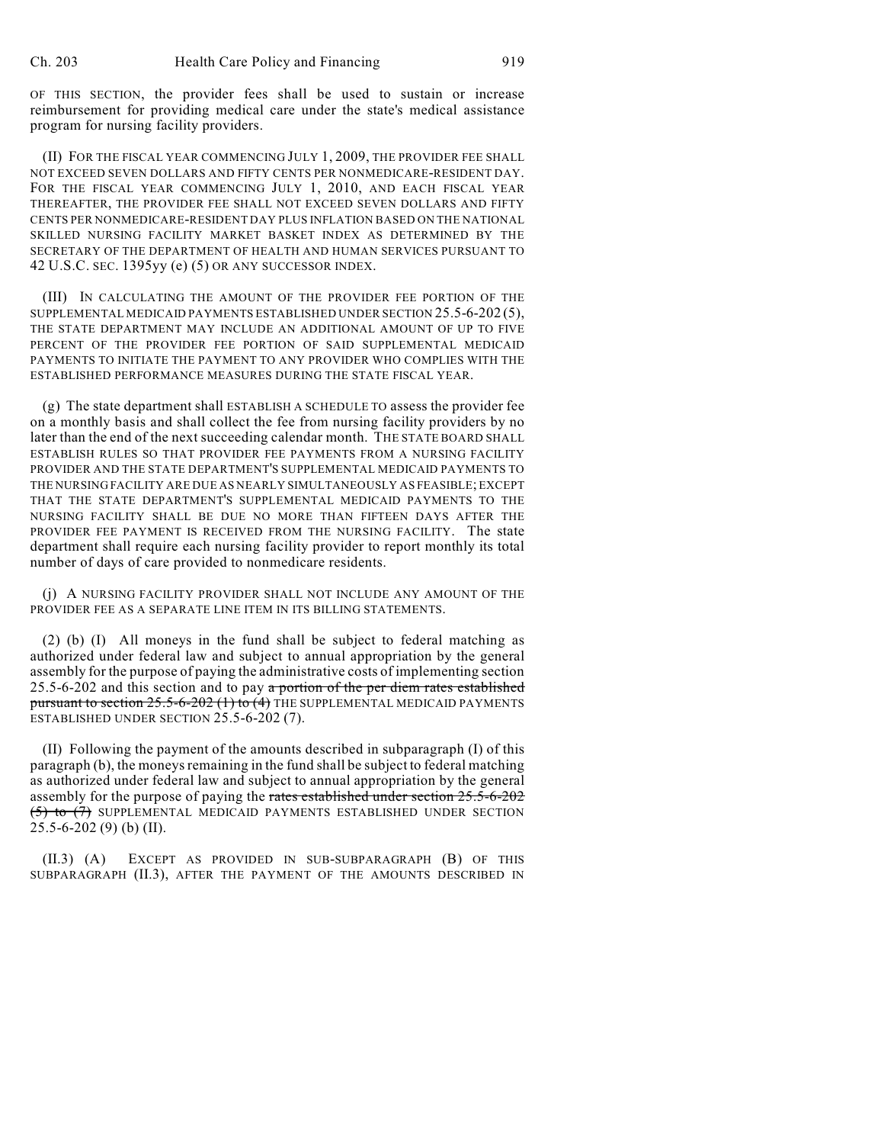OF THIS SECTION, the provider fees shall be used to sustain or increase reimbursement for providing medical care under the state's medical assistance program for nursing facility providers.

(II) FOR THE FISCAL YEAR COMMENCING JULY 1, 2009, THE PROVIDER FEE SHALL NOT EXCEED SEVEN DOLLARS AND FIFTY CENTS PER NONMEDICARE-RESIDENT DAY. FOR THE FISCAL YEAR COMMENCING JULY 1, 2010, AND EACH FISCAL YEAR THEREAFTER, THE PROVIDER FEE SHALL NOT EXCEED SEVEN DOLLARS AND FIFTY CENTS PER NONMEDICARE-RESIDENT DAY PLUS INFLATION BASED ON THE NATIONAL SKILLED NURSING FACILITY MARKET BASKET INDEX AS DETERMINED BY THE SECRETARY OF THE DEPARTMENT OF HEALTH AND HUMAN SERVICES PURSUANT TO 42 U.S.C. SEC. 1395yy (e) (5) OR ANY SUCCESSOR INDEX.

(III) IN CALCULATING THE AMOUNT OF THE PROVIDER FEE PORTION OF THE SUPPLEMENTAL MEDICAID PAYMENTS ESTABLISHED UNDER SECTION 25.5-6-202 (5), THE STATE DEPARTMENT MAY INCLUDE AN ADDITIONAL AMOUNT OF UP TO FIVE PERCENT OF THE PROVIDER FEE PORTION OF SAID SUPPLEMENTAL MEDICAID PAYMENTS TO INITIATE THE PAYMENT TO ANY PROVIDER WHO COMPLIES WITH THE ESTABLISHED PERFORMANCE MEASURES DURING THE STATE FISCAL YEAR.

(g) The state department shall ESTABLISH A SCHEDULE TO assess the provider fee on a monthly basis and shall collect the fee from nursing facility providers by no later than the end of the next succeeding calendar month. THE STATE BOARD SHALL ESTABLISH RULES SO THAT PROVIDER FEE PAYMENTS FROM A NURSING FACILITY PROVIDER AND THE STATE DEPARTMENT'S SUPPLEMENTAL MEDICAID PAYMENTS TO THE NURSING FACILITY ARE DUE AS NEARLY SIMULTANEOUSLY AS FEASIBLE; EXCEPT THAT THE STATE DEPARTMENT'S SUPPLEMENTAL MEDICAID PAYMENTS TO THE NURSING FACILITY SHALL BE DUE NO MORE THAN FIFTEEN DAYS AFTER THE PROVIDER FEE PAYMENT IS RECEIVED FROM THE NURSING FACILITY. The state department shall require each nursing facility provider to report monthly its total number of days of care provided to nonmedicare residents.

(j) A NURSING FACILITY PROVIDER SHALL NOT INCLUDE ANY AMOUNT OF THE PROVIDER FEE AS A SEPARATE LINE ITEM IN ITS BILLING STATEMENTS.

(2) (b) (I) All moneys in the fund shall be subject to federal matching as authorized under federal law and subject to annual appropriation by the general assembly for the purpose of paying the administrative costs of implementing section 25.5-6-202 and this section and to pay a portion of the per diem rates established pursuant to section  $25.5$ -6-202 (1) to (4) THE SUPPLEMENTAL MEDICAID PAYMENTS ESTABLISHED UNDER SECTION 25.5-6-202 (7).

(II) Following the payment of the amounts described in subparagraph (I) of this paragraph (b), the moneys remaining in the fund shall be subject to federal matching as authorized under federal law and subject to annual appropriation by the general assembly for the purpose of paying the rates established under section 25.5-6-202 (5) to (7) SUPPLEMENTAL MEDICAID PAYMENTS ESTABLISHED UNDER SECTION 25.5-6-202 (9) (b) (II).

(II.3) (A) EXCEPT AS PROVIDED IN SUB-SUBPARAGRAPH (B) OF THIS SUBPARAGRAPH (II.3), AFTER THE PAYMENT OF THE AMOUNTS DESCRIBED IN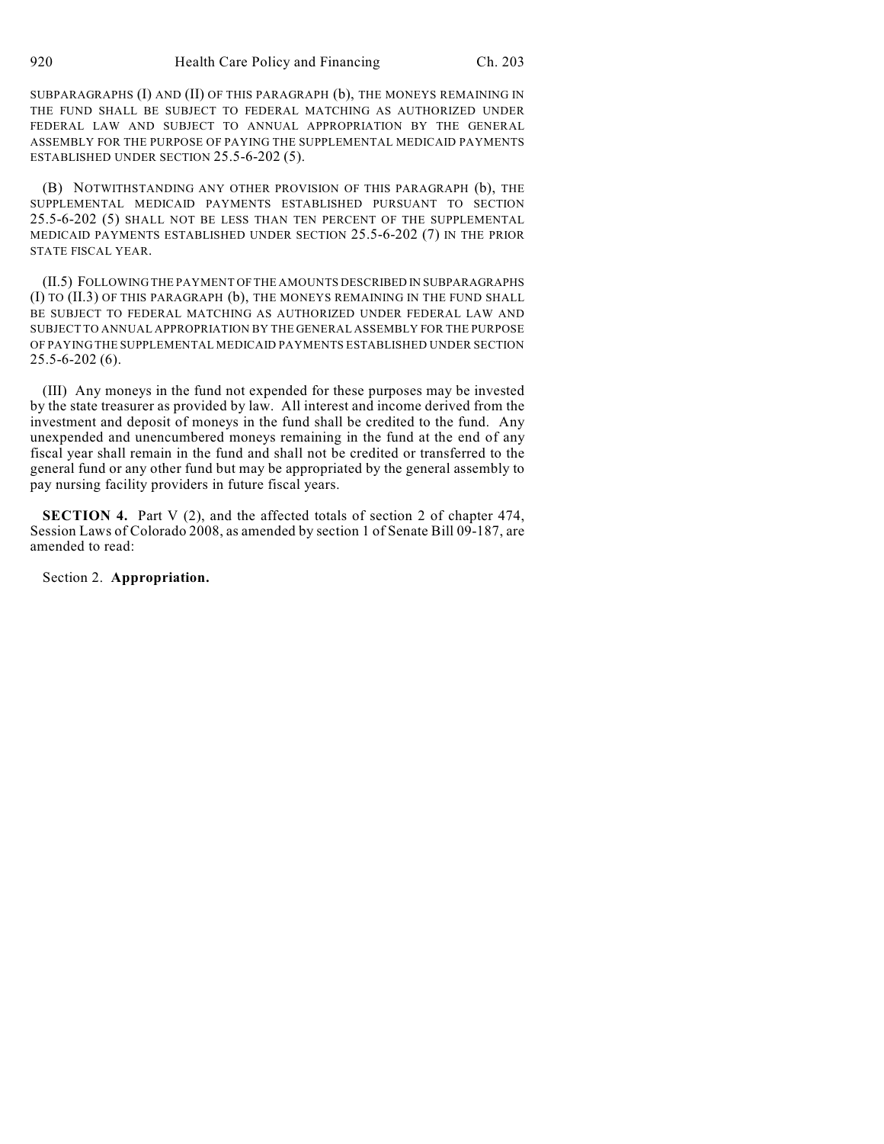SUBPARAGRAPHS (I) AND (II) OF THIS PARAGRAPH (b), THE MONEYS REMAINING IN THE FUND SHALL BE SUBJECT TO FEDERAL MATCHING AS AUTHORIZED UNDER FEDERAL LAW AND SUBJECT TO ANNUAL APPROPRIATION BY THE GENERAL ASSEMBLY FOR THE PURPOSE OF PAYING THE SUPPLEMENTAL MEDICAID PAYMENTS ESTABLISHED UNDER SECTION 25.5-6-202 (5).

(B) NOTWITHSTANDING ANY OTHER PROVISION OF THIS PARAGRAPH (b), THE SUPPLEMENTAL MEDICAID PAYMENTS ESTABLISHED PURSUANT TO SECTION 25.5-6-202 (5) SHALL NOT BE LESS THAN TEN PERCENT OF THE SUPPLEMENTAL MEDICAID PAYMENTS ESTABLISHED UNDER SECTION 25.5-6-202 (7) IN THE PRIOR STATE FISCAL YEAR.

(II.5) FOLLOWING THE PAYMENT OF THE AMOUNTS DESCRIBED IN SUBPARAGRAPHS (I) TO (II.3) OF THIS PARAGRAPH (b), THE MONEYS REMAINING IN THE FUND SHALL BE SUBJECT TO FEDERAL MATCHING AS AUTHORIZED UNDER FEDERAL LAW AND SUBJECT TO ANNUAL APPROPRIATION BY THE GENERAL ASSEMBLY FOR THE PURPOSE OF PAYING THE SUPPLEMENTAL MEDICAID PAYMENTS ESTABLISHED UNDER SECTION 25.5-6-202 (6).

(III) Any moneys in the fund not expended for these purposes may be invested by the state treasurer as provided by law. All interest and income derived from the investment and deposit of moneys in the fund shall be credited to the fund. Any unexpended and unencumbered moneys remaining in the fund at the end of any fiscal year shall remain in the fund and shall not be credited or transferred to the general fund or any other fund but may be appropriated by the general assembly to pay nursing facility providers in future fiscal years.

**SECTION 4.** Part V (2), and the affected totals of section 2 of chapter 474, Session Laws of Colorado 2008, as amended by section 1 of Senate Bill 09-187, are amended to read:

Section 2. **Appropriation.**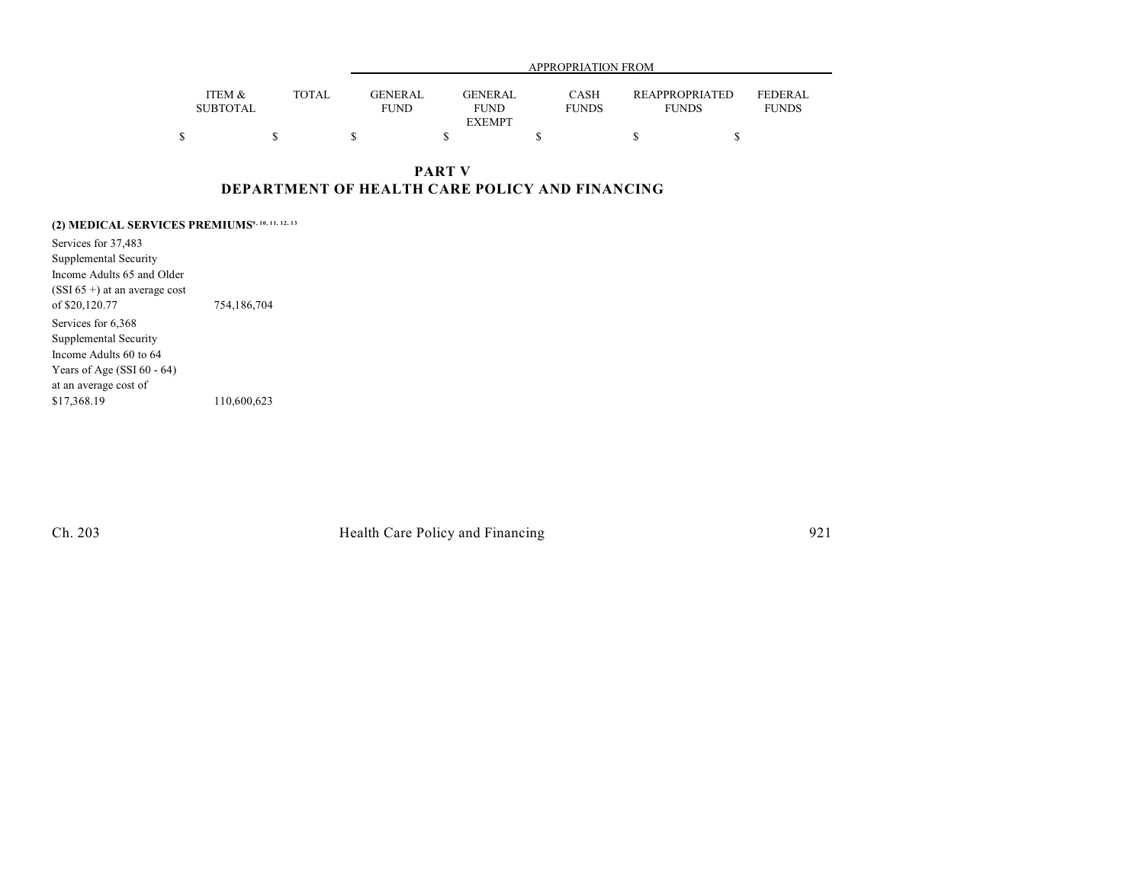|                           |              |                               | APPROPRIATION FROM                      |                             |                                       |                                |  |  |  |
|---------------------------|--------------|-------------------------------|-----------------------------------------|-----------------------------|---------------------------------------|--------------------------------|--|--|--|
| ITEM &<br><b>SUBTOTAL</b> | <b>TOTAL</b> | <b>GENERAL</b><br><b>FUND</b> | <b>GENERAL</b><br>FUND<br><b>EXEMPT</b> | <b>CASH</b><br><b>FUNDS</b> | <b>REAPPROPRIATED</b><br><b>FUNDS</b> | <b>FEDERAL</b><br><b>FUNDS</b> |  |  |  |
|                           |              |                               |                                         |                             |                                       |                                |  |  |  |

### **PART V DEPARTMENT OF HEALTH CARE POLICY AND FINANCING**

**(2) MEDICAL SERVICES PREMIUMS9, 10, 11, 12, 13**

Services for 37,483 Supplemental Security Income Adults 65 and Older (SSI 65 +) at an average cost of \$20,120.77 754,186,704 Services for 6,368 Supplemental Security Income Adults 60 to 64 Years of Age (SSI 60 - 64) at an average cost of<br>\$17,368.19 \$17,368.19 110,600,623

Ch. 203 Health Care Policy and Financing 921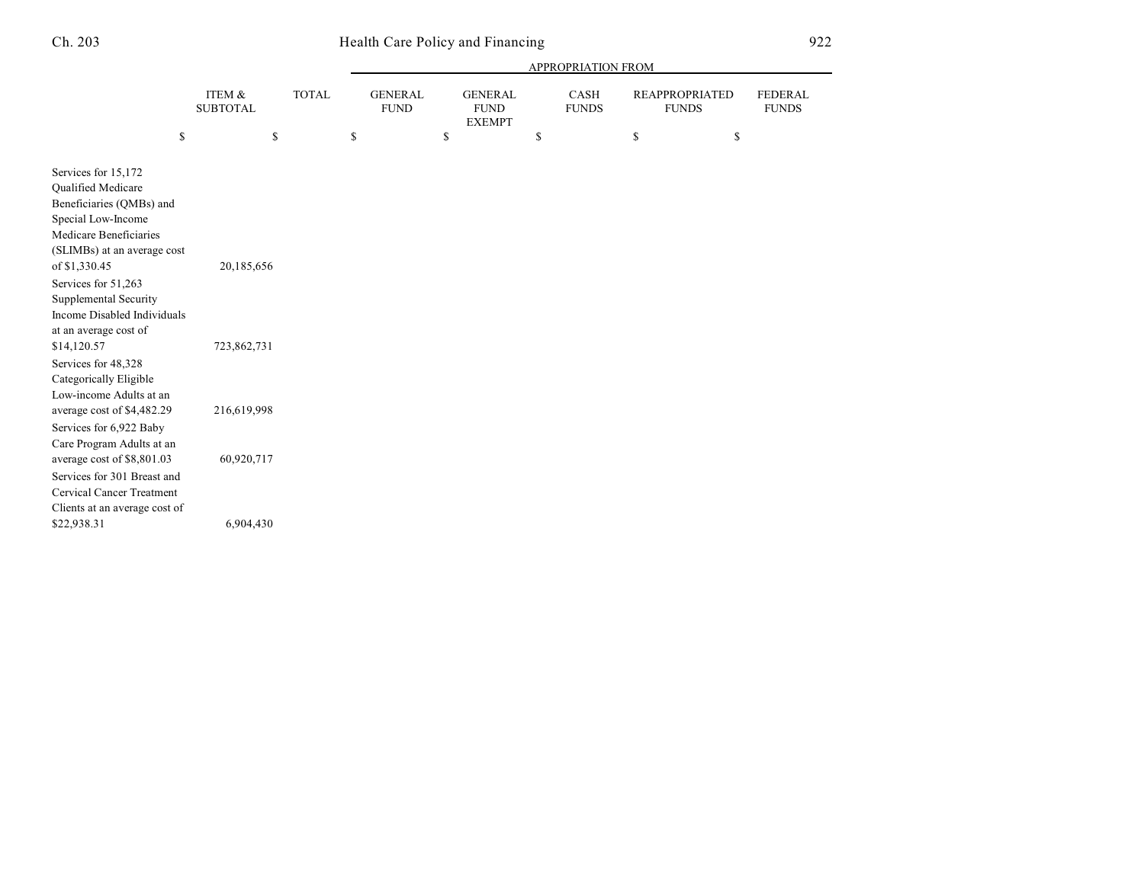## Ch. 203 Health Care Policy and Financing 922

|                                                                                                                                                                                                                                                                                              |                           |              |    | APPROPRIATION FROM            |                                                |    |                      |                                       |    |                                |
|----------------------------------------------------------------------------------------------------------------------------------------------------------------------------------------------------------------------------------------------------------------------------------------------|---------------------------|--------------|----|-------------------------------|------------------------------------------------|----|----------------------|---------------------------------------|----|--------------------------------|
|                                                                                                                                                                                                                                                                                              | ITEM &<br><b>SUBTOTAL</b> | <b>TOTAL</b> |    | <b>GENERAL</b><br><b>FUND</b> | <b>GENERAL</b><br><b>FUND</b><br><b>EXEMPT</b> |    | CASH<br><b>FUNDS</b> | <b>REAPPROPRIATED</b><br><b>FUNDS</b> |    | <b>FEDERAL</b><br><b>FUNDS</b> |
| \$                                                                                                                                                                                                                                                                                           |                           | \$           | \$ | \$                            |                                                | \$ |                      | \$                                    | \$ |                                |
| Services for 15,172<br>Qualified Medicare<br>Beneficiaries (QMBs) and<br>Special Low-Income<br>Medicare Beneficiaries<br>(SLIMBs) at an average cost<br>of \$1,330.45<br>Services for 51,263<br>Supplemental Security<br>Income Disabled Individuals<br>at an average cost of<br>\$14,120.57 | 20,185,656<br>723,862,731 |              |    |                               |                                                |    |                      |                                       |    |                                |
| Services for 48,328<br>Categorically Eligible<br>Low-income Adults at an                                                                                                                                                                                                                     |                           |              |    |                               |                                                |    |                      |                                       |    |                                |
| average cost of \$4,482.29<br>Services for 6,922 Baby<br>Care Program Adults at an                                                                                                                                                                                                           | 216,619,998               |              |    |                               |                                                |    |                      |                                       |    |                                |
| average cost of \$8,801.03<br>Services for 301 Breast and<br><b>Cervical Cancer Treatment</b><br>Clients at an average cost of<br>\$22,938.31                                                                                                                                                | 60,920,717<br>6,904,430   |              |    |                               |                                                |    |                      |                                       |    |                                |
|                                                                                                                                                                                                                                                                                              |                           |              |    |                               |                                                |    |                      |                                       |    |                                |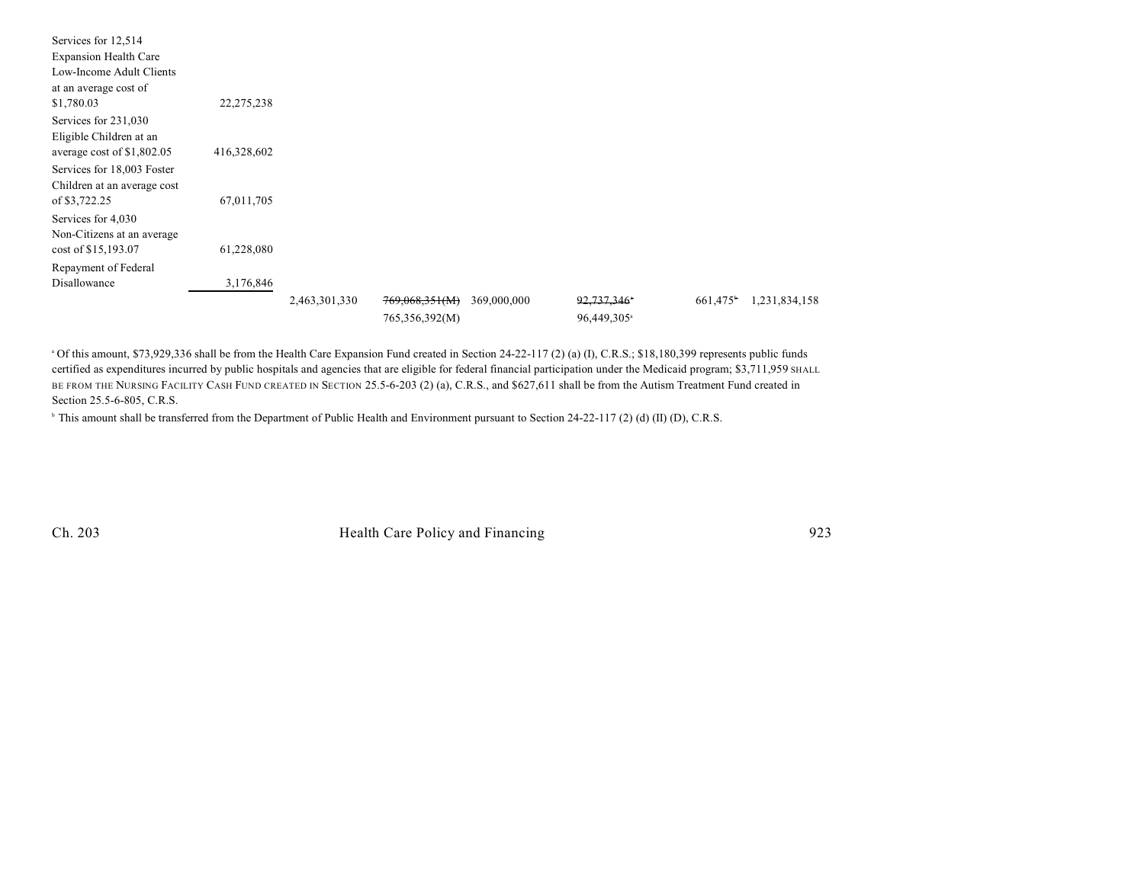| Services for 12,514          |             |               |                |             |                         |         |               |
|------------------------------|-------------|---------------|----------------|-------------|-------------------------|---------|---------------|
| <b>Expansion Health Care</b> |             |               |                |             |                         |         |               |
| Low-Income Adult Clients     |             |               |                |             |                         |         |               |
| at an average cost of        |             |               |                |             |                         |         |               |
| \$1,780.03                   | 22,275,238  |               |                |             |                         |         |               |
| Services for 231,030         |             |               |                |             |                         |         |               |
| Eligible Children at an      |             |               |                |             |                         |         |               |
| average cost of \$1,802.05   | 416,328,602 |               |                |             |                         |         |               |
| Services for 18,003 Foster   |             |               |                |             |                         |         |               |
| Children at an average cost  |             |               |                |             |                         |         |               |
| of \$3,722.25                | 67,011,705  |               |                |             |                         |         |               |
| Services for 4,030           |             |               |                |             |                         |         |               |
| Non-Citizens at an average   |             |               |                |             |                         |         |               |
| cost of \$15,193.07          | 61,228,080  |               |                |             |                         |         |               |
| Repayment of Federal         |             |               |                |             |                         |         |               |
| Disallowance                 | 3,176,846   |               |                |             |                         |         |               |
|                              |             | 2,463,301,330 | 769,068,351(M) | 369,000,000 | 92,737,346*             | 661,475 | 1,231,834,158 |
|                              |             |               | 765,356,392(M) |             | 96,449,305 <sup>a</sup> |         |               |

<sup>a</sup> Of this amount, \$73,929,336 shall be from the Health Care Expansion Fund created in Section 24-22-117 (2) (a) (I), C.R.S.; \$18,180,399 represents public funds certified as expenditures incurred by public hospitals and agencies that are eligible for federal financial participation under the Medicaid program; \$3,711,959 SHALL BE FROM THE NURSING FACILITY CASH FUND CREATED IN SECTION 25.5-6-203 (2) (a), C.R.S., and \$627,611 shall be from the Autism Treatment Fund created in Section 25.5-6-805, C.R.S.

<sup>b</sup> This amount shall be transferred from the Department of Public Health and Environment pursuant to Section 24-22-117 (2) (d) (II) (D), C.R.S.

Ch. 203 Health Care Policy and Financing 923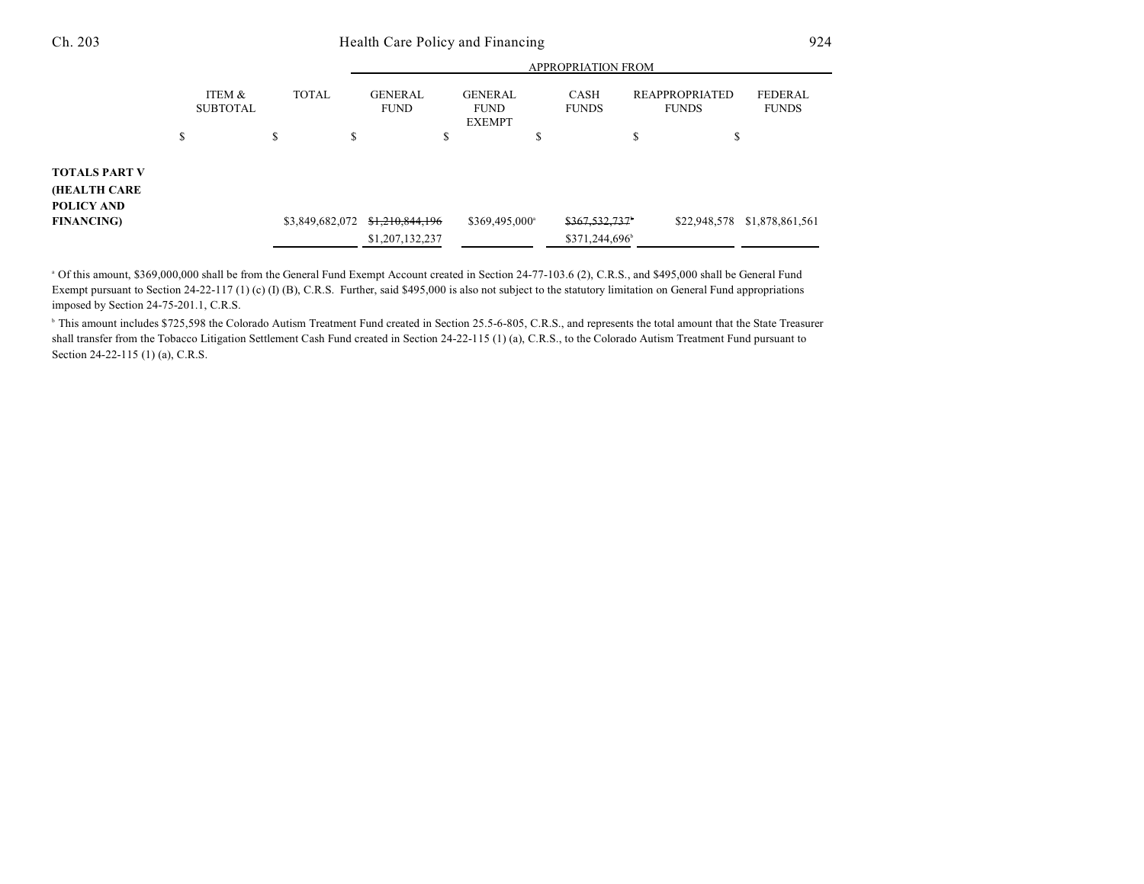|                                                                  |                           |                 | <b>APPROPRIATION FROM</b>          |                                                |                                             |                                                                  |  |  |  |
|------------------------------------------------------------------|---------------------------|-----------------|------------------------------------|------------------------------------------------|---------------------------------------------|------------------------------------------------------------------|--|--|--|
|                                                                  | ITEM &<br><b>SUBTOTAL</b> | <b>TOTAL</b>    | <b>GENERAL</b><br><b>FUND</b>      | <b>GENERAL</b><br><b>FUND</b><br><b>EXEMPT</b> | <b>CASH</b><br><b>FUNDS</b>                 | <b>REAPPROPRIATED</b><br>FEDERAL<br><b>FUNDS</b><br><b>FUNDS</b> |  |  |  |
|                                                                  | \$                        | \$<br>\$        | ۰D                                 | \$                                             | \$                                          | \$                                                               |  |  |  |
| TOTALS PART V<br>(HEALTH CARE<br>POLICY AND<br><b>FINANCING)</b> |                           | \$3,849,682,072 | \$1,210,844,196<br>\$1,207,132,237 | \$369,495,000 <sup>a</sup>                     | \$367,532,737<br>\$371,244,696 <sup>b</sup> | \$22,948,578<br>\$1,878,861,561                                  |  |  |  |

<sup>a</sup> Of this amount, \$369,000,000 shall be from the General Fund Exempt Account created in Section 24-77-103.6 (2), C.R.S., and \$495,000 shall be General Fund Exempt pursuant to Section 24-22-117 (1) (c) (I) (B), C.R.S. Further, said \$495,000 is also not subject to the statutory limitation on General Fund appropriations imposed by Section 24-75-201.1, C.R.S.

<sup>b</sup> This amount includes \$725,598 the Colorado Autism Treatment Fund created in Section 25.5-6-805, C.R.S., and represents the total amount that the State Treasurer shall transfer from the Tobacco Litigation Settlement Cash Fund created in Section 24-22-115 (1) (a), C.R.S., to the Colorado Autism Treatment Fund pursuant to Section 24-22-115 (1) (a), C.R.S.